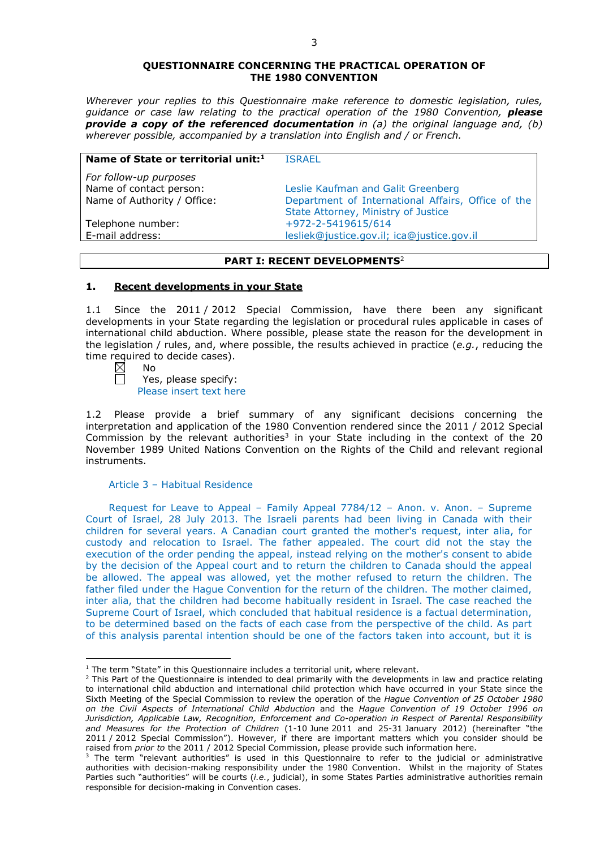#### **QUESTIONNAIRE CONCERNING THE PRACTICAL OPERATION OF THE 1980 CONVENTION**

*Wherever your replies to this Questionnaire make reference to domestic legislation, rules, guidance or case law relating to the practical operation of the 1980 Convention, please provide a copy of the referenced documentation in (a) the original language and, (b) wherever possible, accompanied by a translation into English and / or French.* 

| Name of State or territorial unit: <sup>1</sup> | <b>ISRAFI</b>                                      |
|-------------------------------------------------|----------------------------------------------------|
| For follow-up purposes                          |                                                    |
| Name of contact person:                         | Leslie Kaufman and Galit Greenberg                 |
| Name of Authority / Office:                     | Department of International Affairs, Office of the |
|                                                 | State Attorney, Ministry of Justice                |
| Telephone number:                               | +972-2-5419615/614                                 |
| E-mail address:                                 | lesliek@justice.gov.il; ica@justice.gov.il         |

## **PART I: RECENT DEVELOPMENTS**<sup>2</sup>

## **1. Recent developments in your State**

1.1 Since the 2011 / 2012 Special Commission, have there been any significant developments in your State regarding the legislation or procedural rules applicable in cases of international child abduction. Where possible, please state the reason for the development in the legislation / rules, and, where possible, the results achieved in practice (*e.g.*, reducing the time required to decide cases).<br> $\boxtimes$  No

No

 $\Box$ 

<u>.</u>

Yes, please specify: Please insert text here

1.2 Please provide a brief summary of any significant decisions concerning the interpretation and application of the 1980 Convention rendered since the 2011 / 2012 Special Commission by the relevant authorities<sup>3</sup> in your State including in the context of the 20 November 1989 United Nations Convention on the Rights of the Child and relevant regional instruments.

#### Article 3 – Habitual Residence

Request for Leave to Appeal – Family Appeal 7784/12 – Anon. v. Anon. – Supreme Court of Israel, 28 July 2013. The Israeli parents had been living in Canada with their children for several years. A Canadian court granted the mother's request, inter alia, for custody and relocation to Israel. The father appealed. The court did not the stay the execution of the order pending the appeal, instead relying on the mother's consent to abide by the decision of the Appeal court and to return the children to Canada should the appeal be allowed. The appeal was allowed, yet the mother refused to return the children. The father filed under the Hague Convention for the return of the children. The mother claimed, inter alia, that the children had become habitually resident in Israel. The case reached the Supreme Court of Israel, which concluded that habitual residence is a factual determination, to be determined based on the facts of each case from the perspective of the child. As part of this analysis parental intention should be one of the factors taken into account, but it is

<sup>&</sup>lt;sup>1</sup> The term "State" in this Questionnaire includes a territorial unit, where relevant.

 $<sup>2</sup>$  This Part of the Questionnaire is intended to deal primarily with the developments in law and practice relating</sup> to international child abduction and international child protection which have occurred in your State since the Sixth Meeting of the Special Commission to review the operation of the *Hague Convention of 25 October 1980 on the Civil Aspects of International Child Abduction* and the *Hague Convention of 19 October 1996 on Jurisdiction, Applicable Law, Recognition, Enforcement and Co-operation in Respect of Parental Responsibility and Measures for the Protection of Children* (1-10 June 2011 and 25-31 January 2012) (hereinafter "the 2011 / 2012 Special Commission"). However, if there are important matters which you consider should be raised from *prior to* the 2011 / 2012 Special Commission, please provide such information here.

 $3$  The term "relevant authorities" is used in this Questionnaire to refer to the judicial or administrative authorities with decision-making responsibility under the 1980 Convention. Whilst in the majority of States Parties such "authorities" will be courts (*i.e.*, judicial), in some States Parties administrative authorities remain responsible for decision-making in Convention cases.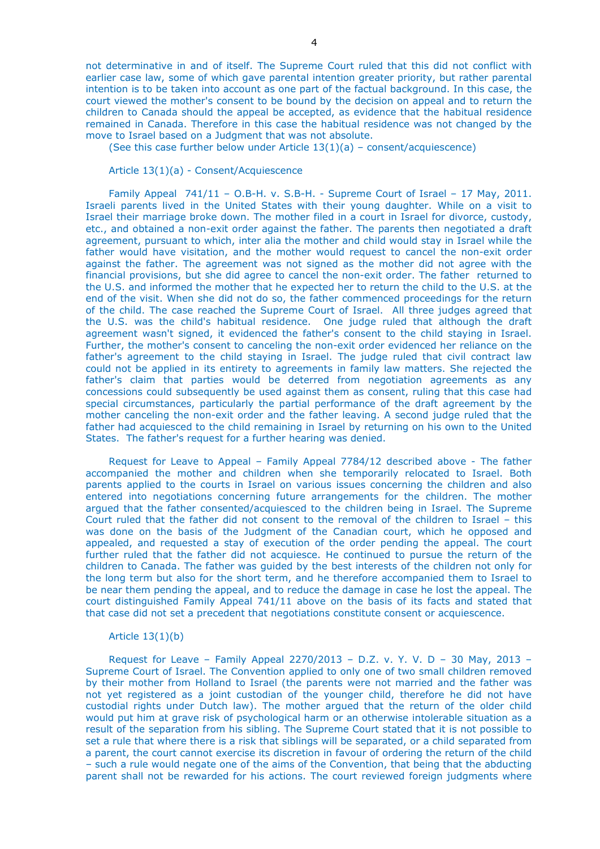(See this case further below under Article  $13(1)(a)$  – consent/acquiescence)

Article 13(1)(a) - Consent/Acquiescence

Family Appeal 741/11 - O.B-H. v. S.B-H. - Supreme Court of Israel - 17 May, 2011. Israeli parents lived in the United States with their young daughter. While on a visit to Israel their marriage broke down. The mother filed in a court in Israel for divorce, custody, etc., and obtained a non-exit order against the father. The parents then negotiated a draft agreement, pursuant to which, inter alia the mother and child would stay in Israel while the father would have visitation, and the mother would request to cancel the non-exit order against the father. The agreement was not signed as the mother did not agree with the financial provisions, but she did agree to cancel the non-exit order. The father returned to the U.S. and informed the mother that he expected her to return the child to the U.S. at the end of the visit. When she did not do so, the father commenced proceedings for the return of the child. The case reached the Supreme Court of Israel. All three judges agreed that the U.S. was the child's habitual residence. One judge ruled that although the draft agreement wasn't signed, it evidenced the father's consent to the child staying in Israel. Further, the mother's consent to canceling the non-exit order evidenced her reliance on the father's agreement to the child staying in Israel. The judge ruled that civil contract law could not be applied in its entirety to agreements in family law matters. She rejected the father's claim that parties would be deterred from negotiation agreements as any concessions could subsequently be used against them as consent, ruling that this case had special circumstances, particularly the partial performance of the draft agreement by the mother canceling the non-exit order and the father leaving. A second judge ruled that the father had acquiesced to the child remaining in Israel by returning on his own to the United States. The father's request for a further hearing was denied.

Request for Leave to Appeal – Family Appeal 7784/12 described above - The father accompanied the mother and children when she temporarily relocated to Israel. Both parents applied to the courts in Israel on various issues concerning the children and also entered into negotiations concerning future arrangements for the children. The mother argued that the father consented/acquiesced to the children being in Israel. The Supreme Court ruled that the father did not consent to the removal of the children to Israel – this was done on the basis of the Judgment of the Canadian court, which he opposed and appealed, and requested a stay of execution of the order pending the appeal. The court further ruled that the father did not acquiesce. He continued to pursue the return of the children to Canada. The father was guided by the best interests of the children not only for the long term but also for the short term, and he therefore accompanied them to Israel to be near them pending the appeal, and to reduce the damage in case he lost the appeal. The court distinguished Family Appeal 741/11 above on the basis of its facts and stated that that case did not set a precedent that negotiations constitute consent or acquiescence.

#### Article 13(1)(b)

Request for Leave – Family Appeal 2270/2013 – D.Z. v. Y. V. D – 30 May, 2013 – Supreme Court of Israel. The Convention applied to only one of two small children removed by their mother from Holland to Israel (the parents were not married and the father was not yet registered as a joint custodian of the younger child, therefore he did not have custodial rights under Dutch law). The mother argued that the return of the older child would put him at grave risk of psychological harm or an otherwise intolerable situation as a result of the separation from his sibling. The Supreme Court stated that it is not possible to set a rule that where there is a risk that siblings will be separated, or a child separated from a parent, the court cannot exercise its discretion in favour of ordering the return of the child – such a rule would negate one of the aims of the Convention, that being that the abducting parent shall not be rewarded for his actions. The court reviewed foreign judgments where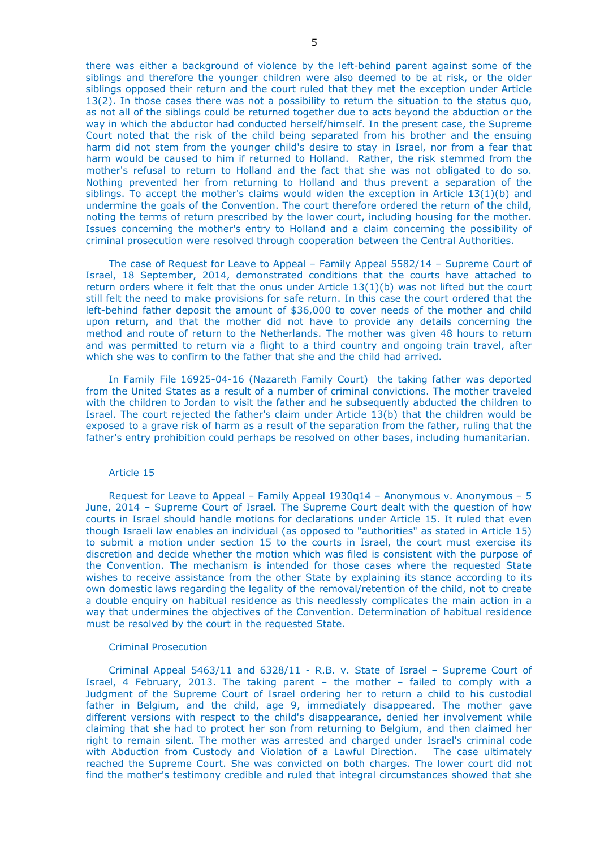there was either a background of violence by the left-behind parent against some of the siblings and therefore the younger children were also deemed to be at risk, or the older siblings opposed their return and the court ruled that they met the exception under Article 13(2). In those cases there was not a possibility to return the situation to the status quo, as not all of the siblings could be returned together due to acts beyond the abduction or the way in which the abductor had conducted herself/himself. In the present case, the Supreme Court noted that the risk of the child being separated from his brother and the ensuing harm did not stem from the younger child's desire to stay in Israel, nor from a fear that harm would be caused to him if returned to Holland. Rather, the risk stemmed from the mother's refusal to return to Holland and the fact that she was not obligated to do so. Nothing prevented her from returning to Holland and thus prevent a separation of the siblings. To accept the mother's claims would widen the exception in Article 13(1)(b) and undermine the goals of the Convention. The court therefore ordered the return of the child, noting the terms of return prescribed by the lower court, including housing for the mother. Issues concerning the mother's entry to Holland and a claim concerning the possibility of criminal prosecution were resolved through cooperation between the Central Authorities.

The case of Request for Leave to Appeal – Family Appeal 5582/14 – Supreme Court of Israel, 18 September, 2014, demonstrated conditions that the courts have attached to return orders where it felt that the onus under Article 13(1)(b) was not lifted but the court still felt the need to make provisions for safe return. In this case the court ordered that the left-behind father deposit the amount of \$36,000 to cover needs of the mother and child upon return, and that the mother did not have to provide any details concerning the method and route of return to the Netherlands. The mother was given 48 hours to return and was permitted to return via a flight to a third country and ongoing train travel, after which she was to confirm to the father that she and the child had arrived.

In Family File 16925-04-16 (Nazareth Family Court) the taking father was deported from the United States as a result of a number of criminal convictions. The mother traveled with the children to Jordan to visit the father and he subsequently abducted the children to Israel. The court rejected the father's claim under Article 13(b) that the children would be exposed to a grave risk of harm as a result of the separation from the father, ruling that the father's entry prohibition could perhaps be resolved on other bases, including humanitarian.

#### Article 15

Request for Leave to Appeal – Family Appeal  $1930q14$  – Anonymous v. Anonymous – 5 June, 2014 – Supreme Court of Israel. The Supreme Court dealt with the question of how courts in Israel should handle motions for declarations under Article 15. It ruled that even though Israeli law enables an individual (as opposed to "authorities" as stated in Article 15) to submit a motion under section 15 to the courts in Israel, the court must exercise its discretion and decide whether the motion which was filed is consistent with the purpose of the Convention. The mechanism is intended for those cases where the requested State wishes to receive assistance from the other State by explaining its stance according to its own domestic laws regarding the legality of the removal/retention of the child, not to create a double enquiry on habitual residence as this needlessly complicates the main action in a way that undermines the objectives of the Convention. Determination of habitual residence must be resolved by the court in the requested State.

#### Criminal Prosecution

Criminal Appeal 5463/11 and 6328/11 - R.B. v. State of Israel – Supreme Court of Israel, 4 February, 2013. The taking parent – the mother – failed to comply with a Judgment of the Supreme Court of Israel ordering her to return a child to his custodial father in Belgium, and the child, age 9, immediately disappeared. The mother gave different versions with respect to the child's disappearance, denied her involvement while claiming that she had to protect her son from returning to Belgium, and then claimed her right to remain silent. The mother was arrested and charged under Israel's criminal code with Abduction from Custody and Violation of a Lawful Direction. The case ultimately reached the Supreme Court. She was convicted on both charges. The lower court did not find the mother's testimony credible and ruled that integral circumstances showed that she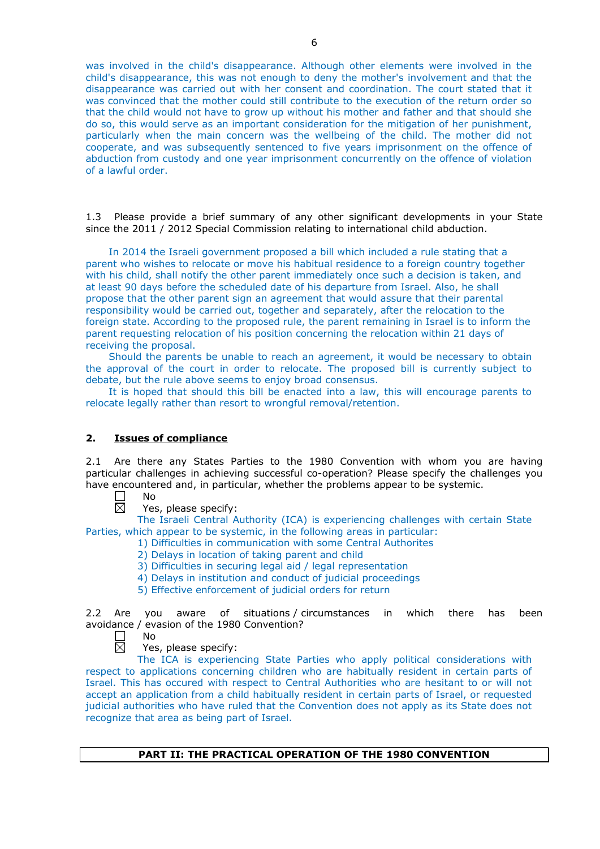was involved in the child's disappearance. Although other elements were involved in the child's disappearance, this was not enough to deny the mother's involvement and that the disappearance was carried out with her consent and coordination. The court stated that it was convinced that the mother could still contribute to the execution of the return order so that the child would not have to grow up without his mother and father and that should she do so, this would serve as an important consideration for the mitigation of her punishment, particularly when the main concern was the wellbeing of the child. The mother did not cooperate, and was subsequently sentenced to five years imprisonment on the offence of abduction from custody and one year imprisonment concurrently on the offence of violation of a lawful order.

1.3 Please provide a brief summary of any other significant developments in your State since the 2011 / 2012 Special Commission relating to international child abduction.

In 2014 the Israeli government proposed a bill which included a rule stating that a parent who wishes to relocate or move his habitual residence to a foreign country together with his child, shall notify the other parent immediately once such a decision is taken, and at least 90 days before the scheduled date of his departure from Israel. Also, he shall propose that the other parent sign an agreement that would assure that their parental responsibility would be carried out, together and separately, after the relocation to the foreign state. According to the proposed rule, the parent remaining in Israel is to inform the parent requesting relocation of his position concerning the relocation within 21 days of receiving the proposal.

Should the parents be unable to reach an agreement, it would be necessary to obtain the approval of the court in order to relocate. The proposed bill is currently subject to debate, but the rule above seems to enjoy broad consensus.

It is hoped that should this bill be enacted into a law, this will encourage parents to relocate legally rather than resort to wrongful removal/retention.

### **2. Issues of compliance**

2.1 Are there any States Parties to the 1980 Convention with whom you are having particular challenges in achieving successful co-operation? Please specify the challenges you have encountered and, in particular, whether the problems appear to be systemic.

- No  $\overline{\boxtimes}$ 
	- Yes, please specify:

The Israeli Central Authority (ICA) is experiencing challenges with certain State Parties, which appear to be systemic, in the following areas in particular:

- 1) Difficulties in communication with some Central Authorites
	- 2) Delays in location of taking parent and child
	- 3) Difficulties in securing legal aid / legal representation
	- 4) Delays in institution and conduct of judicial proceedings
	- 5) Effective enforcement of judicial orders for return

2.2 Are you aware of situations / circumstances in which there has been avoidance / evasion of the 1980 Convention?

- $\perp$ No 反
	- Yes, please specify:

The ICA is experiencing State Parties who apply political considerations with respect to applications concerning children who are habitually resident in certain parts of Israel. This has occured with respect to Central Authorities who are hesitant to or will not accept an application from a child habitually resident in certain parts of Israel, or requested judicial authorities who have ruled that the Convention does not apply as its State does not recognize that area as being part of Israel.

### **PART II: THE PRACTICAL OPERATION OF THE 1980 CONVENTION**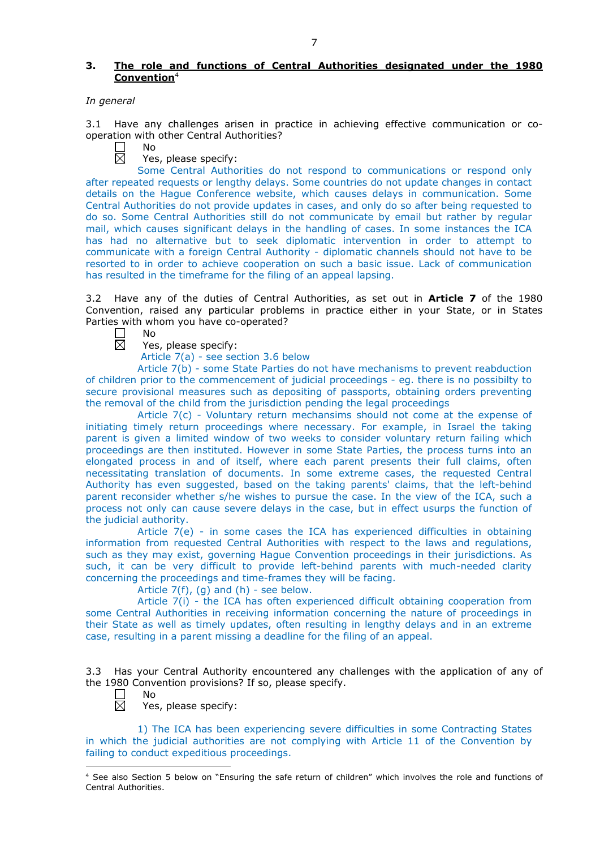### **3. The role and functions of Central Authorities designated under the 1980 Convention**<sup>4</sup>

#### *In general*

3.1 Have any challenges arisen in practice in achieving effective communication or cooperation with other Central Authorities?

 $\Box$ No 岗

Yes, please specify:

Some Central Authorities do not respond to communications or respond only after repeated requests or lengthy delays. Some countries do not update changes in contact details on the Hague Conference website, which causes delays in communication. Some Central Authorities do not provide updates in cases, and only do so after being requested to do so. Some Central Authorities still do not communicate by email but rather by regular mail, which causes significant delays in the handling of cases. In some instances the ICA has had no alternative but to seek diplomatic intervention in order to attempt to communicate with a foreign Central Authority - diplomatic channels should not have to be resorted to in order to achieve cooperation on such a basic issue. Lack of communication has resulted in the timeframe for the filing of an appeal lapsing.

3.2 Have any of the duties of Central Authorities, as set out in **Article 7** of the 1980 Convention, raised any particular problems in practice either in your State, or in States Parties with whom you have co-operated?

No 岗

Yes, please specify:

Article 7(a) - see section 3.6 below

Article 7(b) - some State Parties do not have mechanisms to prevent reabduction of children prior to the commencement of judicial proceedings - eg. there is no possibilty to secure provisional measures such as depositing of passports, obtaining orders preventing the removal of the child from the jurisdiction pending the legal proceedings

Article  $7(c)$  - Voluntary return mechansims should not come at the expense of initiating timely return proceedings where necessary. For example, in Israel the taking parent is given a limited window of two weeks to consider voluntary return failing which proceedings are then instituted. However in some State Parties, the process turns into an elongated process in and of itself, where each parent presents their full claims, often necessitating translation of documents. In some extreme cases, the requested Central Authority has even suggested, based on the taking parents' claims, that the left-behind parent reconsider whether s/he wishes to pursue the case. In the view of the ICA, such a process not only can cause severe delays in the case, but in effect usurps the function of the judicial authority.

Article 7(e) - in some cases the ICA has experienced difficulties in obtaining information from requested Central Authorities with respect to the laws and regulations, such as they may exist, governing Hague Convention proceedings in their jurisdictions. As such, it can be very difficult to provide left-behind parents with much-needed clarity concerning the proceedings and time-frames they will be facing.

Article  $7(f)$ , (g) and (h) - see below.

Article 7(i) - the ICA has often experienced difficult obtaining cooperation from some Central Authorities in receiving information concerning the nature of proceedings in their State as well as timely updates, often resulting in lengthy delays and in an extreme case, resulting in a parent missing a deadline for the filing of an appeal.

3.3 Has your Central Authority encountered any challenges with the application of any of the 1980 Convention provisions? If so, please specify.

- No
- $\overline{\boxtimes}$ Yes, please specify:

1) The ICA has been experiencing severe difficulties in some Contracting States in which the judicial authorities are not complying with Article 11 of the Convention by failing to conduct expeditious proceedings.

<sup>-</sup><sup>4</sup> See also Section 5 below on "Ensuring the safe return of children" which involves the role and functions of Central Authorities.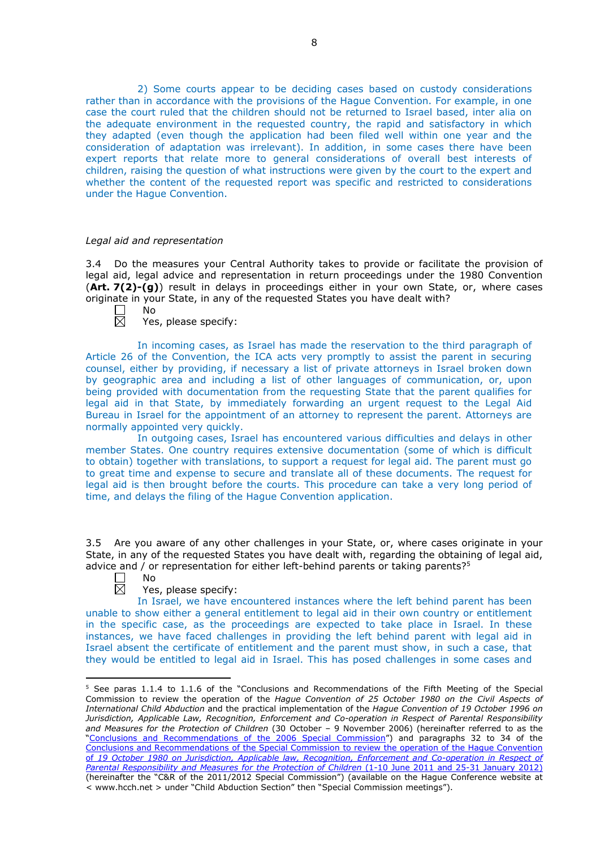2) Some courts appear to be deciding cases based on custody considerations rather than in accordance with the provisions of the Hague Convention. For example, in one case the court ruled that the children should not be returned to Israel based, inter alia on the adequate environment in the requested country, the rapid and satisfactory in which they adapted (even though the application had been filed well within one year and the consideration of adaptation was irrelevant). In addition, in some cases there have been expert reports that relate more to general considerations of overall best interests of children, raising the question of what instructions were given by the court to the expert and whether the content of the requested report was specific and restricted to considerations under the Hague Convention.

#### *Legal aid and representation*

No

3.4 Do the measures your Central Authority takes to provide or facilitate the provision of legal aid, legal advice and representation in return proceedings under the 1980 Convention (**Art. 7(2)-(g)**) result in delays in proceedings either in your own State, or, where cases originate in your State, in any of the requested States you have dealt with?

┍ 反

Yes, please specify:

In incoming cases, as Israel has made the reservation to the third paragraph of Article 26 of the Convention, the ICA acts very promptly to assist the parent in securing counsel, either by providing, if necessary a list of private attorneys in Israel broken down by geographic area and including a list of other languages of communication, or, upon being provided with documentation from the requesting State that the parent qualifies for legal aid in that State, by immediately forwarding an urgent request to the Legal Aid Bureau in Israel for the appointment of an attorney to represent the parent. Attorneys are normally appointed very quickly.

In outgoing cases, Israel has encountered various difficulties and delays in other member States. One country requires extensive documentation (some of which is difficult to obtain) together with translations, to support a request for legal aid. The parent must go to great time and expense to secure and translate all of these documents. The request for legal aid is then brought before the courts. This procedure can take a very long period of time, and delays the filing of the Hague Convention application.

3.5 Are you aware of any other challenges in your State, or, where cases originate in your State, in any of the requested States you have dealt with, regarding the obtaining of legal aid, advice and / or representation for either left-behind parents or taking parents?<sup>5</sup> No

 $\overline{\boxtimes}$ 

<u>.</u>

### Yes, please specify:

In Israel, we have encountered instances where the left behind parent has been unable to show either a general entitlement to legal aid in their own country or entitlement in the specific case, as the proceedings are expected to take place in Israel. In these instances, we have faced challenges in providing the left behind parent with legal aid in Israel absent the certificate of entitlement and the parent must show, in such a case, that they would be entitled to legal aid in Israel. This has posed challenges in some cases and

<sup>5</sup> See paras 1.1.4 to 1.1.6 of the "Conclusions and Recommendations of the Fifth Meeting of the Special Commission to review the operation of the *Hague Convention of 25 October 1980 on the Civil Aspects of International Child Abduction* and the practical implementation of the *Hague Convention of 19 October 1996 on Jurisdiction, Applicable Law, Recognition, Enforcement and Co-operation in Respect of Parental Responsibility and Measures for the Protection of Children* (30 October – 9 November 2006) (hereinafter referred to as the ["Conclusions and Recommendations of the 2006 Special Commission"](https://assets.hcch.net/upload/concl28sc5_e.pdf)) and paragraphs 32 to 34 of the [Conclusions and Recommendations of the Special Commission](https://assets.hcch.net/upload/wop/concl28sc6_e.pdf) to review the operation of the Hague Convention of *[19 October 1980 on Jurisdiction, Applicable law, Recognition, Enforcement and Co-operation in Respect of](https://assets.hcch.net/upload/wop/concl28sc6_e.pdf)  [Parental Responsibility and Measures for the Protection of Children](https://assets.hcch.net/upload/wop/concl28sc6_e.pdf)* (1-10 June 2011 and 25-31 January 2012) (hereinafter the "C&R of the 2011/2012 Special Commission") (available on the Hague Conference website at < www.hcch.net > under "Child Abduction Section" then "Special Commission meetings").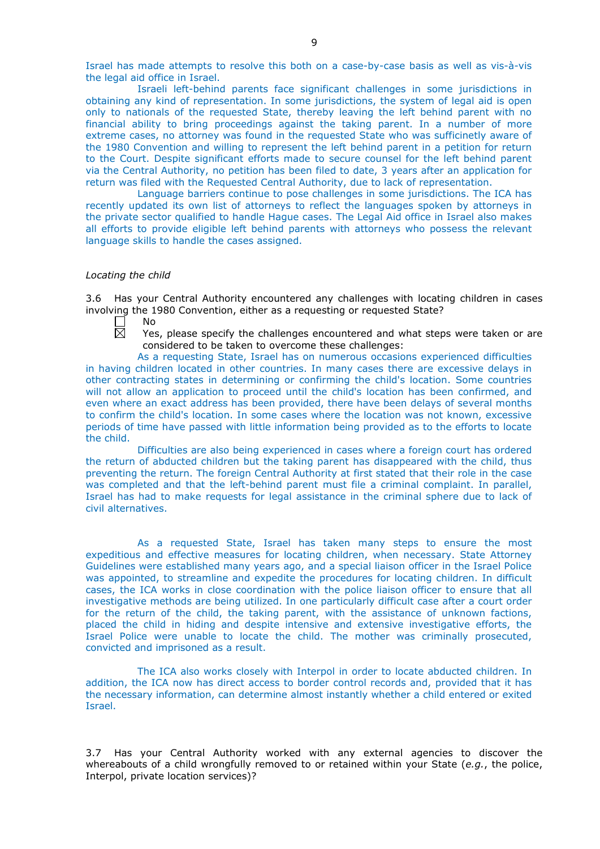Israel has made attempts to resolve this both on a case-by-case basis as well as vis-à-vis the legal aid office in Israel.

Israeli left-behind parents face significant challenges in some jurisdictions in obtaining any kind of representation. In some jurisdictions, the system of legal aid is open only to nationals of the requested State, thereby leaving the left behind parent with no financial ability to bring proceedings against the taking parent. In a number of more extreme cases, no attorney was found in the requested State who was sufficinetly aware of the 1980 Convention and willing to represent the left behind parent in a petition for return to the Court. Despite significant efforts made to secure counsel for the left behind parent via the Central Authority, no petition has been filed to date, 3 years after an application for return was filed with the Requested Central Authority, due to lack of representation.

Language barriers continue to pose challenges in some jurisdictions. The ICA has recently updated its own list of attorneys to reflect the languages spoken by attorneys in the private sector qualified to handle Hague cases. The Legal Aid office in Israel also makes all efforts to provide eligible left behind parents with attorneys who possess the relevant language skills to handle the cases assigned.

#### *Locating the child*

3.6 Has your Central Authority encountered any challenges with locating children in cases involving the 1980 Convention, either as a requesting or requested State?

- **Contract** No 岗
	- Yes, please specify the challenges encountered and what steps were taken or are considered to be taken to overcome these challenges:

As a requesting State, Israel has on numerous occasions experienced difficulties in having children located in other countries. In many cases there are excessive delays in other contracting states in determining or confirming the child's location. Some countries will not allow an application to proceed until the child's location has been confirmed, and even where an exact address has been provided, there have been delays of several months to confirm the child's location. In some cases where the location was not known, excessive periods of time have passed with little information being provided as to the efforts to locate the child.

Difficulties are also being experienced in cases where a foreign court has ordered the return of abducted children but the taking parent has disappeared with the child, thus preventing the return. The foreign Central Authority at first stated that their role in the case was completed and that the left-behind parent must file a criminal complaint. In parallel, Israel has had to make requests for legal assistance in the criminal sphere due to lack of civil alternatives.

As a requested State, Israel has taken many steps to ensure the most expeditious and effective measures for locating children, when necessary. State Attorney Guidelines were established many years ago, and a special liaison officer in the Israel Police was appointed, to streamline and expedite the procedures for locating children. In difficult cases, the ICA works in close coordination with the police liaison officer to ensure that all investigative methods are being utilized. In one particularly difficult case after a court order for the return of the child, the taking parent, with the assistance of unknown factions, placed the child in hiding and despite intensive and extensive investigative efforts, the Israel Police were unable to locate the child. The mother was criminally prosecuted, convicted and imprisoned as a result.

The ICA also works closely with Interpol in order to locate abducted children. In addition, the ICA now has direct access to border control records and, provided that it has the necessary information, can determine almost instantly whether a child entered or exited Israel.

3.7 Has your Central Authority worked with any external agencies to discover the whereabouts of a child wrongfully removed to or retained within your State (*e.g.*, the police, Interpol, private location services)?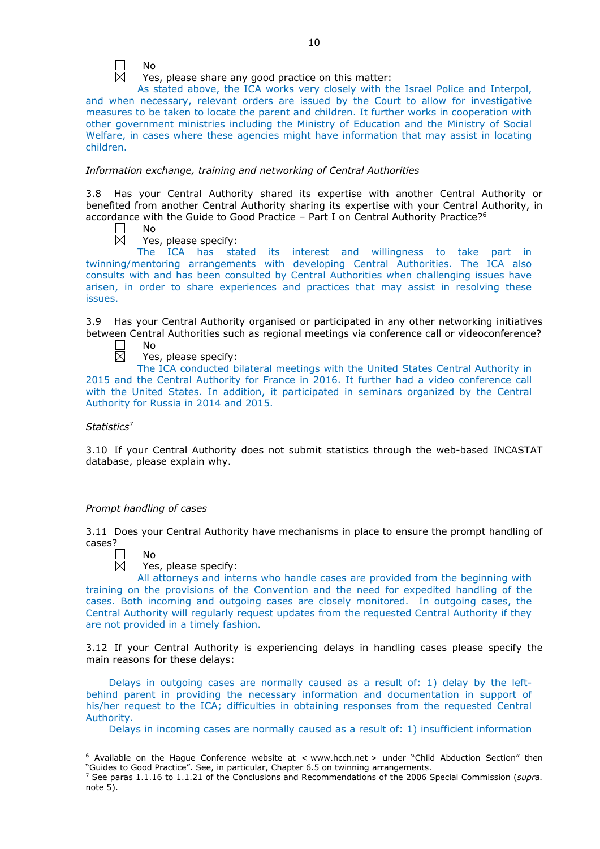

Yes, please share any good practice on this matter:

As stated above, the ICA works very closely with the Israel Police and Interpol, and when necessary, relevant orders are issued by the Court to allow for investigative measures to be taken to locate the parent and children. It further works in cooperation with other government ministries including the Ministry of Education and the Ministry of Social Welfare, in cases where these agencies might have information that may assist in locating children.

### *Information exchange, training and networking of Central Authorities*

3.8 Has your Central Authority shared its expertise with another Central Authority or benefited from another Central Authority sharing its expertise with your Central Authority, in accordance with the Guide to Good Practice – Part I on Central Authority Practice?<sup>6</sup>

П No 岗

Yes, please specify:

The ICA has stated its interest and willingness to take part in twinning/mentoring arrangements with developing Central Authorities. The ICA also consults with and has been consulted by Central Authorities when challenging issues have arisen, in order to share experiences and practices that may assist in resolving these issues.

3.9 Has your Central Authority organised or participated in any other networking initiatives between Central Authorities such as regional meetings via conference call or videoconference? No

П 岗

Yes, please specify:

The ICA conducted bilateral meetings with the United States Central Authority in 2015 and the Central Authority for France in 2016. It further had a video conference call with the United States. In addition, it participated in seminars organized by the Central Authority for Russia in 2014 and 2015.

*Statistics*<sup>7</sup>

3.10 If your Central Authority does not submit statistics through the web-based INCASTAT database, please explain why.

## *Prompt handling of cases*

3.11 Does your Central Authority have mechanisms in place to ensure the prompt handling of cases?



-

Yes, please specify:

All attorneys and interns who handle cases are provided from the beginning with training on the provisions of the Convention and the need for expedited handling of the cases. Both incoming and outgoing cases are closely monitored. In outgoing cases, the Central Authority will regularly request updates from the requested Central Authority if they are not provided in a timely fashion.

3.12 If your Central Authority is experiencing delays in handling cases please specify the main reasons for these delays:

Delays in outgoing cases are normally caused as a result of: 1) delay by the leftbehind parent in providing the necessary information and documentation in support of his/her request to the ICA; difficulties in obtaining responses from the requested Central Authority.

Delays in incoming cases are normally caused as a result of: 1) insufficient information

 $6$  Available on the Hague Conference website at < www.hcch.net > under "Child Abduction Section" then "Guides to Good Practice". See, in particular, Chapter 6.5 on twinning arrangements.

<sup>7</sup> See paras 1.1.16 to 1.1.21 of the Conclusions and Recommendations of the 2006 Special Commission (*supra.*  note  $5$ ).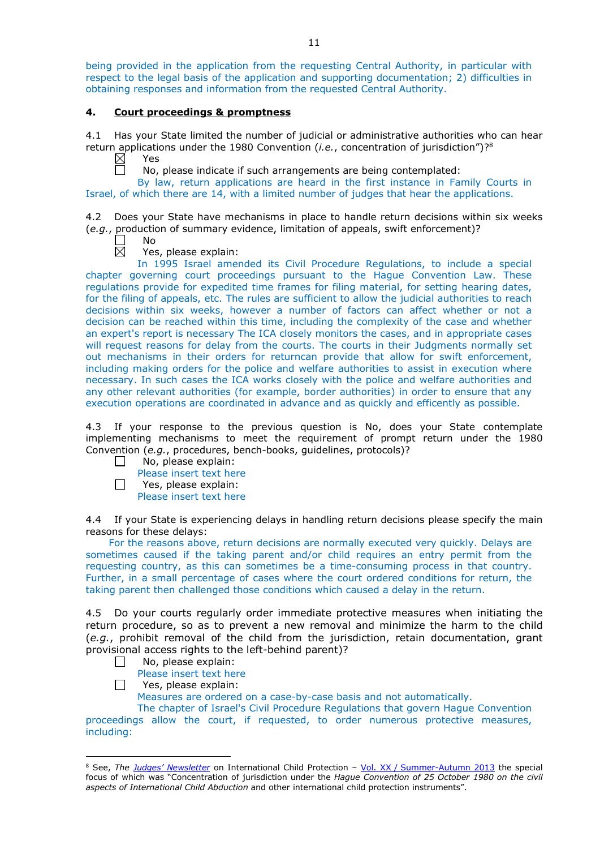being provided in the application from the requesting Central Authority, in particular with respect to the legal basis of the application and supporting documentation; 2) difficulties in obtaining responses and information from the requested Central Authority.

## **4. Court proceedings & promptness**

4.1 Has your State limited the number of judicial or administrative authorities who can hear return applications under the 1980 Convention (*i.e.*, concentration of jurisdiction")?8

 $\boxtimes$ Yes 戸

No, please indicate if such arrangements are being contemplated:

By law, return applications are heard in the first instance in Family Courts in Israel, of which there are 14, with a limited number of judges that hear the applications.

4.2 Does your State have mechanisms in place to handle return decisions within six weeks (*e.g.*, production of summary evidence, limitation of appeals, swift enforcement)?

No  $\boxtimes$ 

Yes, please explain:

In 1995 Israel amended its Civil Procedure Regulations, to include a special chapter governing court proceedings pursuant to the Hague Convention Law. These regulations provide for expedited time frames for filing material, for setting hearing dates, for the filing of appeals, etc. The rules are sufficient to allow the judicial authorities to reach decisions within six weeks, however a number of factors can affect whether or not a decision can be reached within this time, including the complexity of the case and whether an expert's report is necessary The ICA closely monitors the cases, and in appropriate cases will request reasons for delay from the courts. The courts in their Judgments normally set out mechanisms in their orders for returncan provide that allow for swift enforcement, including making orders for the police and welfare authorities to assist in execution where necessary. In such cases the ICA works closely with the police and welfare authorities and any other relevant authorities (for example, border authorities) in order to ensure that any execution operations are coordinated in advance and as quickly and efficently as possible.

4.3 If your response to the previous question is No, does your State contemplate implementing mechanisms to meet the requirement of prompt return under the 1980 Convention (*e.g.*, procedures, bench-books, guidelines, protocols)?

- No, please explain: П
	- Please insert text here
- $\Box$ Yes, please explain: Please insert text here

4.4 If your State is experiencing delays in handling return decisions please specify the main reasons for these delays:

For the reasons above, return decisions are normally executed very quickly. Delays are sometimes caused if the taking parent and/or child requires an entry permit from the requesting country, as this can sometimes be a time-consuming process in that country. Further, in a small percentage of cases where the court ordered conditions for return, the taking parent then challenged those conditions which caused a delay in the return.

4.5 Do your courts regularly order immediate protective measures when initiating the return procedure, so as to prevent a new removal and minimize the harm to the child (*e.g.*, prohibit removal of the child from the jurisdiction, retain documentation, grant provisional access rights to the left-behind parent)?

- $\Box$ No, please explain:
	- Please insert text here

 $\Box$ Yes, please explain:

Measures are ordered on a case-by-case basis and not automatically.

The chapter of Israel's Civil Procedure Regulations that govern Hague Convention proceedings allow the court, if requested, to order numerous protective measures, including:

<sup>-</sup><sup>8</sup> See, *The [Judges' Newsletter](https://www.hcch.net/en/instruments/conventions/publications2/judges-newsletter)* on International Child Protection – Vol. XX / [Summer-Autumn 2013](https://assets.hcch.net/upload/newsletter/nl2013tome20en.pdf) the special focus of which was "Concentration of jurisdiction under the *Hague Convention of 25 October 1980 on the civil aspects of International Child Abduction* and other international child protection instruments".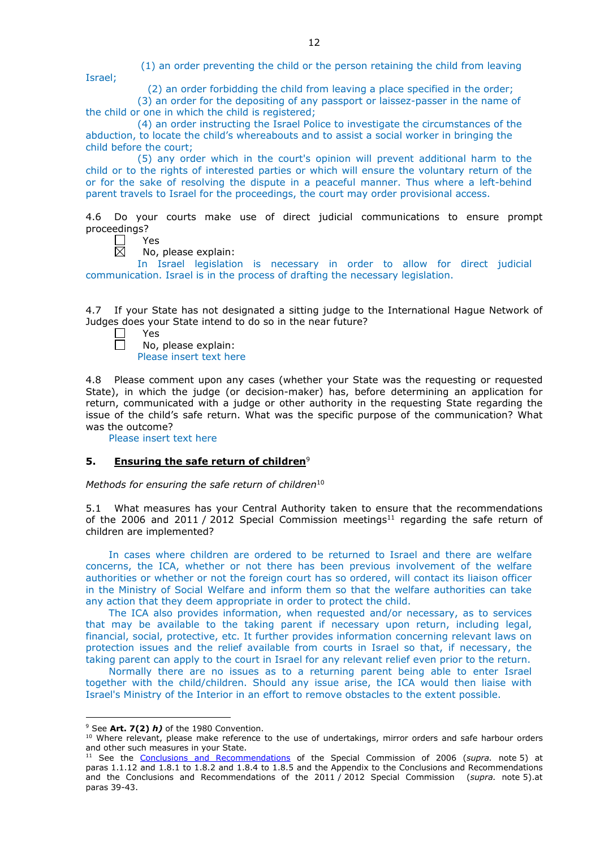(1) an order preventing the child or the person retaining the child from leaving

(2) an order forbidding the child from leaving a place specified in the order;

(3) an order for the depositing of any passport or laissez-passer in the name of the child or one in which the child is registered;

(4) an order instructing the Israel Police to investigate the circumstances of the abduction, to locate the child's whereabouts and to assist a social worker in bringing the child before the court;

(5) any order which in the court's opinion will prevent additional harm to the child or to the rights of interested parties or which will ensure the voluntary return of the or for the sake of resolving the dispute in a peaceful manner. Thus where a left-behind parent travels to Israel for the proceedings, the court may order provisional access.

4.6 Do your courts make use of direct judicial communications to ensure prompt proceedings?

П Yes  $\boxtimes$ 

Israel;

No, please explain:

In Israel legislation is necessary in order to allow for direct judicial communication. Israel is in the process of drafting the necessary legislation.

4.7 If your State has not designated a sitting judge to the International Hague Network of Judges does your State intend to do so in the near future?

Yes

No, please explain: Please insert text here

4.8 Please comment upon any cases (whether your State was the requesting or requested State), in which the judge (or decision-maker) has, before determining an application for return, communicated with a judge or other authority in the requesting State regarding the issue of the child's safe return. What was the specific purpose of the communication? What was the outcome?

Please insert text here

### **5. Ensuring the safe return of children**<sup>9</sup>

*Methods for ensuring the safe return of children*<sup>10</sup>

5.1 What measures has your Central Authority taken to ensure that the recommendations of the 2006 and 2011 / 2012 Special Commission meetings<sup>11</sup> regarding the safe return of children are implemented?

In cases where children are ordered to be returned to Israel and there are welfare concerns, the ICA, whether or not there has been previous involvement of the welfare authorities or whether or not the foreign court has so ordered, will contact its liaison officer in the Ministry of Social Welfare and inform them so that the welfare authorities can take any action that they deem appropriate in order to protect the child.

The ICA also provides information, when requested and/or necessary, as to services that may be available to the taking parent if necessary upon return, including legal, financial, social, protective, etc. It further provides information concerning relevant laws on protection issues and the relief available from courts in Israel so that, if necessary, the taking parent can apply to the court in Israel for any relevant relief even prior to the return.

Normally there are no issues as to a returning parent being able to enter Israel together with the child/children. Should any issue arise, the ICA would then liaise with Israel's Ministry of the Interior in an effort to remove obstacles to the extent possible.

<u>.</u>

<sup>9</sup> See **Art. 7(2)** *h)* of the 1980 Convention.

<sup>10</sup> Where relevant, please make reference to the use of undertakings, mirror orders and safe harbour orders and other such measures in your State.

<sup>11</sup> See the [Conclusions and Recommendations](https://assets.hcch.net/upload/concl28sc5_e.pdf) of the Special Commission of 2006 (*supra.* note 5) at paras 1.1.12 and 1.8.1 to 1.8.2 and 1.8.4 to 1.8.5 and the Appendix to the Conclusions and Recommendations and the [Conclusions and Recommendations of the 2011](https://assets.hcch.net/upload/wop/concl28sc6_e.pdf) / 2012 Special Commission (*supra.* note 5).at paras 39-43.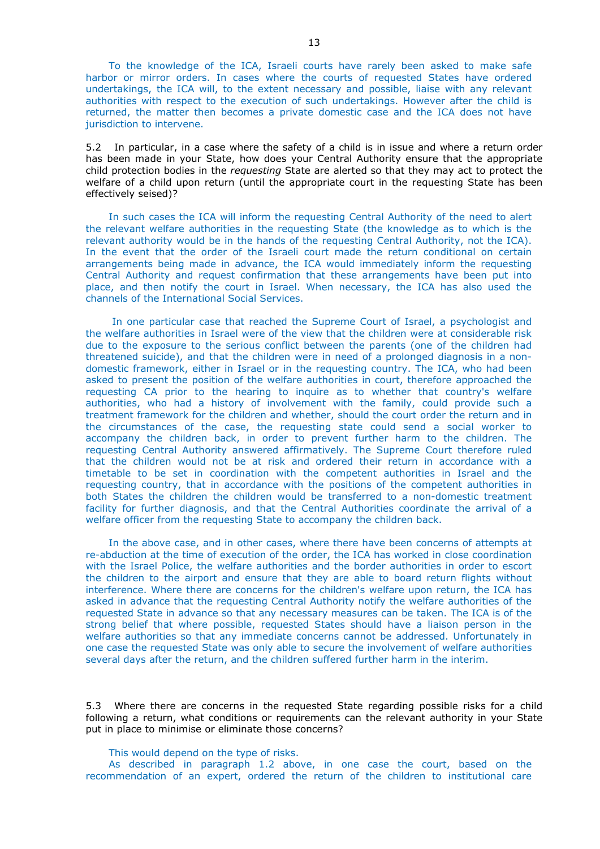To the knowledge of the ICA, Israeli courts have rarely been asked to make safe harbor or mirror orders. In cases where the courts of requested States have ordered undertakings, the ICA will, to the extent necessary and possible, liaise with any relevant authorities with respect to the execution of such undertakings. However after the child is returned, the matter then becomes a private domestic case and the ICA does not have jurisdiction to intervene.

5.2 In particular, in a case where the safety of a child is in issue and where a return order has been made in your State, how does your Central Authority ensure that the appropriate child protection bodies in the *requesting* State are alerted so that they may act to protect the welfare of a child upon return (until the appropriate court in the requesting State has been effectively seised)?

In such cases the ICA will inform the requesting Central Authority of the need to alert the relevant welfare authorities in the requesting State (the knowledge as to which is the relevant authority would be in the hands of the requesting Central Authority, not the ICA). In the event that the order of the Israeli court made the return conditional on certain arrangements being made in advance, the ICA would immediately inform the requesting Central Authority and request confirmation that these arrangements have been put into place, and then notify the court in Israel. When necessary, the ICA has also used the channels of the International Social Services.

In one particular case that reached the Supreme Court of Israel, a psychologist and the welfare authorities in Israel were of the view that the children were at considerable risk due to the exposure to the serious conflict between the parents (one of the children had threatened suicide), and that the children were in need of a prolonged diagnosis in a nondomestic framework, either in Israel or in the requesting country. The ICA, who had been asked to present the position of the welfare authorities in court, therefore approached the requesting CA prior to the hearing to inquire as to whether that country's welfare authorities, who had a history of involvement with the family, could provide such a treatment framework for the children and whether, should the court order the return and in the circumstances of the case, the requesting state could send a social worker to accompany the children back, in order to prevent further harm to the children. The requesting Central Authority answered affirmatively. The Supreme Court therefore ruled that the children would not be at risk and ordered their return in accordance with a timetable to be set in coordination with the competent authorities in Israel and the requesting country, that in accordance with the positions of the competent authorities in both States the children the children would be transferred to a non-domestic treatment facility for further diagnosis, and that the Central Authorities coordinate the arrival of a welfare officer from the requesting State to accompany the children back.

In the above case, and in other cases, where there have been concerns of attempts at re-abduction at the time of execution of the order, the ICA has worked in close coordination with the Israel Police, the welfare authorities and the border authorities in order to escort the children to the airport and ensure that they are able to board return flights without interference. Where there are concerns for the children's welfare upon return, the ICA has asked in advance that the requesting Central Authority notify the welfare authorities of the requested State in advance so that any necessary measures can be taken. The ICA is of the strong belief that where possible, requested States should have a liaison person in the welfare authorities so that any immediate concerns cannot be addressed. Unfortunately in one case the requested State was only able to secure the involvement of welfare authorities several days after the return, and the children suffered further harm in the interim.

5.3 Where there are concerns in the requested State regarding possible risks for a child following a return, what conditions or requirements can the relevant authority in your State put in place to minimise or eliminate those concerns?

This would depend on the type of risks.

As described in paragraph 1.2 above, in one case the court, based on the recommendation of an expert, ordered the return of the children to institutional care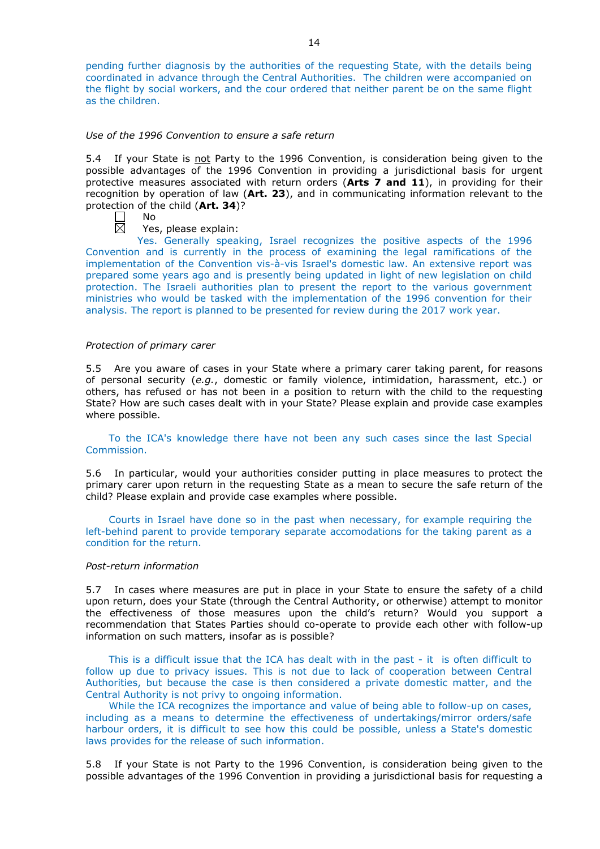pending further diagnosis by the authorities of the requesting State, with the details being coordinated in advance through the Central Authorities. The children were accompanied on the flight by social workers, and the cour ordered that neither parent be on the same flight as the children.

#### *Use of the 1996 Convention to ensure a safe return*

5.4 If your State is not Party to the 1996 Convention, is consideration being given to the possible advantages of the 1996 Convention in providing a jurisdictional basis for urgent protective measures associated with return orders (**Arts 7 and 11**), in providing for their recognition by operation of law (**Art. 23**), and in communicating information relevant to the protection of the child (**Art. 34**)?

 $\mathbf{L}$ No 岗

Yes, please explain:

Yes. Generally speaking, Israel recognizes the positive aspects of the 1996 Convention and is currently in the process of examining the legal ramifications of the implementation of the Convention vis-à-vis Israel's domestic law. An extensive report was prepared some years ago and is presently being updated in light of new legislation on child protection. The Israeli authorities plan to present the report to the various government ministries who would be tasked with the implementation of the 1996 convention for their analysis. The report is planned to be presented for review during the 2017 work year.

#### *Protection of primary carer*

5.5 Are you aware of cases in your State where a primary carer taking parent, for reasons of personal security (*e.g.*, domestic or family violence, intimidation, harassment, etc.) or others, has refused or has not been in a position to return with the child to the requesting State? How are such cases dealt with in your State? Please explain and provide case examples where possible.

To the ICA's knowledge there have not been any such cases since the last Special Commission.

5.6 In particular, would your authorities consider putting in place measures to protect the primary carer upon return in the requesting State as a mean to secure the safe return of the child? Please explain and provide case examples where possible.

Courts in Israel have done so in the past when necessary, for example requiring the left-behind parent to provide temporary separate accomodations for the taking parent as a condition for the return.

#### *Post-return information*

5.7 In cases where measures are put in place in your State to ensure the safety of a child upon return, does your State (through the Central Authority, or otherwise) attempt to monitor the effectiveness of those measures upon the child's return? Would you support a recommendation that States Parties should co-operate to provide each other with follow-up information on such matters, insofar as is possible?

This is a difficult issue that the ICA has dealt with in the past - it is often difficult to follow up due to privacy issues. This is not due to lack of cooperation between Central Authorities, but because the case is then considered a private domestic matter, and the Central Authority is not privy to ongoing information.

While the ICA recognizes the importance and value of being able to follow-up on cases, including as a means to determine the effectiveness of undertakings/mirror orders/safe harbour orders, it is difficult to see how this could be possible, unless a State's domestic laws provides for the release of such information.

5.8 If your State is not Party to the 1996 Convention, is consideration being given to the possible advantages of the 1996 Convention in providing a jurisdictional basis for requesting a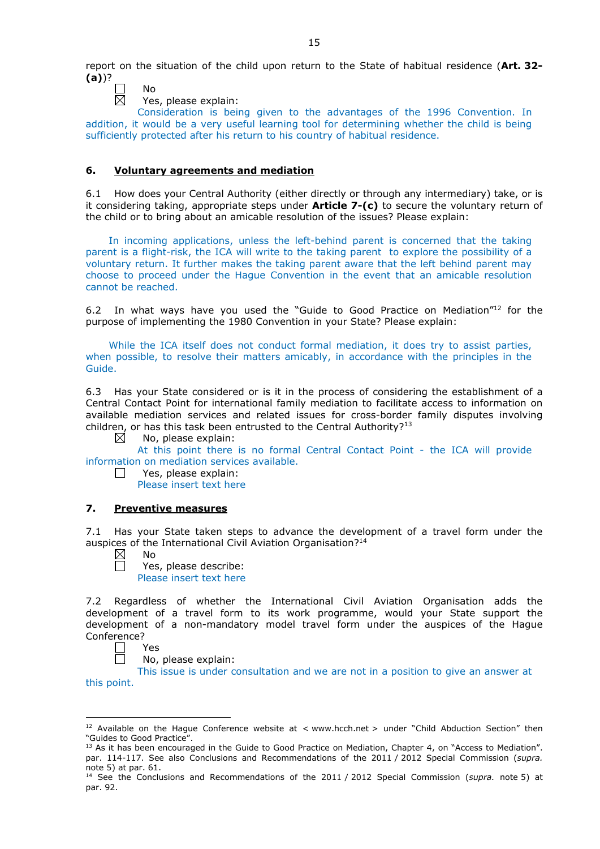report on the situation of the child upon return to the State of habitual residence (**Art. 32- (a)**)?

- $\mathcal{L}$ No  $\overline{\boxtimes}$ 
	- Yes, please explain:

Consideration is being given to the advantages of the 1996 Convention. In addition, it would be a very useful learning tool for determining whether the child is being sufficiently protected after his return to his country of habitual residence.

## **6. Voluntary agreements and mediation**

6.1 How does your Central Authority (either directly or through any intermediary) take, or is it considering taking, appropriate steps under **Article 7-(c)** to secure the voluntary return of the child or to bring about an amicable resolution of the issues? Please explain:

In incoming applications, unless the left-behind parent is concerned that the taking parent is a flight-risk, the ICA will write to the taking parent to explore the possibility of a voluntary return. It further makes the taking parent aware that the left behind parent may choose to proceed under the Hague Convention in the event that an amicable resolution cannot be reached.

6.2 In what ways have you used the "Guide to Good Practice on Mediation"12 for the purpose of implementing the 1980 Convention in your State? Please explain:

While the ICA itself does not conduct formal mediation, it does try to assist parties, when possible, to resolve their matters amicably, in accordance with the principles in the Guide.

6.3 Has your State considered or is it in the process of considering the establishment of a Central Contact Point for international family mediation to facilitate access to information on available mediation services and related issues for cross-border family disputes involving children, or has this task been entrusted to the Central Authority?<sup>13</sup> No. please explain:

No, please explain:

At this point there is no formal Central Contact Point - the ICA will provide information on mediation services available.

Yes, please explain:

Please insert text here

### **7. Preventive measures**

7.1 Has your State taken steps to advance the development of a travel form under the auspices of the International Civil Aviation Organisation?14

 $\boxtimes$ No

П

 $\Box$ 

Yes, please describe: Please insert text here

7.2 Regardless of whether the International Civil Aviation Organisation adds the development of a travel form to its work programme, would your State support the development of a non-mandatory model travel form under the auspices of the Hague Conference?

Yes

<u>.</u>

No, please explain:

This issue is under consultation and we are not in a position to give an answer at this point.

<sup>&</sup>lt;sup>12</sup> Available on the Hague Conference website at < www.hcch.net > under "Child Abduction Section" then "Guides to Good Practice".

<sup>&</sup>lt;sup>13</sup> As it has been encouraged in the Guide to Good Practice on Mediation, Chapter 4, on "Access to Mediation". par. 114-117. See also [Conclusions and Recommendations of the 2011](https://assets.hcch.net/upload/wop/concl28sc6_e.pdf) / 2012 Special Commission (*supra.* <sub>n</sub>ote 5) at par. 61.

<sup>14</sup> See the [Conclusions and Recommendations of the 2011](https://assets.hcch.net/upload/wop/concl28sc6_e.pdf) / 2012 Special Commission (*supra.* note 5) at par. 92.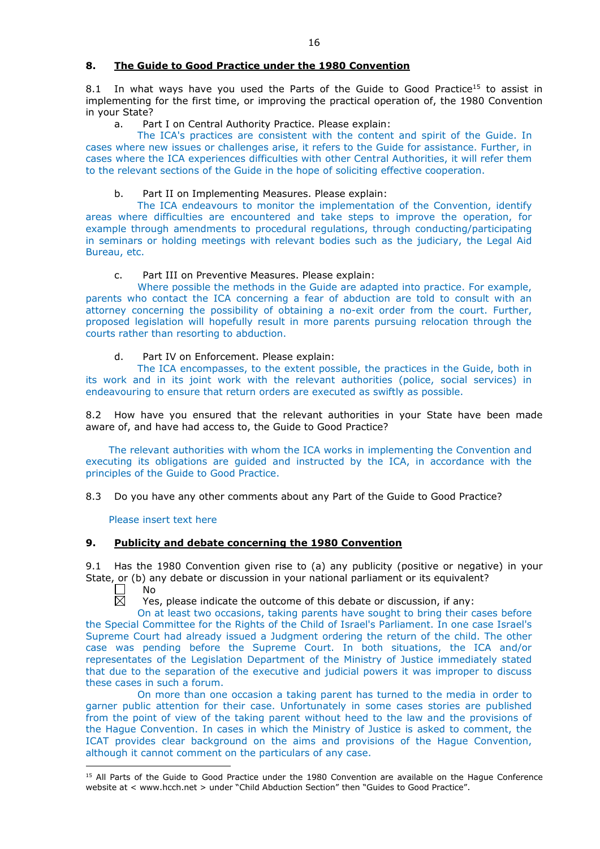### **8. The Guide to Good Practice under the 1980 Convention**

8.1 In what ways have you used the Parts of the Guide to Good Practice<sup>15</sup> to assist in implementing for the first time, or improving the practical operation of, the 1980 Convention in your State?

a. Part I on Central Authority Practice. Please explain:

The ICA's practices are consistent with the content and spirit of the Guide. In cases where new issues or challenges arise, it refers to the Guide for assistance. Further, in cases where the ICA experiences difficulties with other Central Authorities, it will refer them to the relevant sections of the Guide in the hope of soliciting effective cooperation.

## b. Part II on Implementing Measures. Please explain:

The ICA endeavours to monitor the implementation of the Convention, identify areas where difficulties are encountered and take steps to improve the operation, for example through amendments to procedural regulations, through conducting/participating in seminars or holding meetings with relevant bodies such as the judiciary, the Legal Aid Bureau, etc.

### c. Part III on Preventive Measures. Please explain:

Where possible the methods in the Guide are adapted into practice. For example, parents who contact the ICA concerning a fear of abduction are told to consult with an attorney concerning the possibility of obtaining a no-exit order from the court. Further, proposed legislation will hopefully result in more parents pursuing relocation through the courts rather than resorting to abduction.

## d. Part IV on Enforcement. Please explain:

The ICA encompasses, to the extent possible, the practices in the Guide, both in its work and in its joint work with the relevant authorities (police, social services) in endeavouring to ensure that return orders are executed as swiftly as possible.

8.2 How have you ensured that the relevant authorities in your State have been made aware of, and have had access to, the Guide to Good Practice?

The relevant authorities with whom the ICA works in implementing the Convention and executing its obligations are guided and instructed by the ICA, in accordance with the principles of the Guide to Good Practice.

8.3 Do you have any other comments about any Part of the Guide to Good Practice?

Please insert text here

### **9. Publicity and debate concerning the 1980 Convention**

9.1 Has the 1980 Convention given rise to (a) any publicity (positive or negative) in your State, or (b) any debate or discussion in your national parliament or its equivalent?<br>  $\Box$  No

No 反

Yes, please indicate the outcome of this debate or discussion, if any:

On at least two occasions, taking parents have sought to bring their cases before the Special Committee for the Rights of the Child of Israel's Parliament. In one case Israel's Supreme Court had already issued a Judgment ordering the return of the child. The other case was pending before the Supreme Court. In both situations, the ICA and/or representates of the Legislation Department of the Ministry of Justice immediately stated that due to the separation of the executive and judicial powers it was improper to discuss these cases in such a forum.

On more than one occasion a taking parent has turned to the media in order to garner public attention for their case. Unfortunately in some cases stories are published from the point of view of the taking parent without heed to the law and the provisions of the Hague Convention. In cases in which the Ministry of Justice is asked to comment, the ICAT provides clear background on the aims and provisions of the Hague Convention, although it cannot comment on the particulars of any case.

<sup>-</sup><sup>15</sup> All Parts of the Guide to Good Practice under the 1980 Convention are available on the Hague Conference website at < www.hcch.net > under "Child Abduction Section" then "Guides to Good Practice".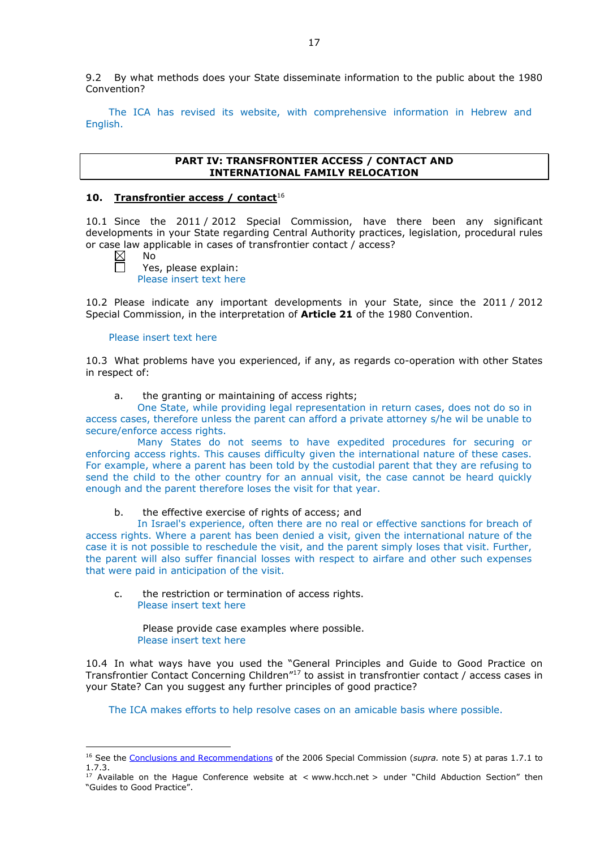9.2 By what methods does your State disseminate information to the public about the 1980 Convention?

The ICA has revised its website, with comprehensive information in Hebrew and English.

### **PART IV: TRANSFRONTIER ACCESS / CONTACT AND INTERNATIONAL FAMILY RELOCATION**

## **10. Transfrontier access / contact**<sup>16</sup>

10.1 Since the 2011 / 2012 Special Commission, have there been any significant developments in your State regarding Central Authority practices, legislation, procedural rules or case law applicable in cases of transfrontier contact / access?

-

No Yes, please explain: Please insert text here

10.2 Please indicate any important developments in your State, since the 2011 / 2012 Special Commission, in the interpretation of **Article 21** of the 1980 Convention.

### Please insert text here

10.3 What problems have you experienced, if any, as regards co-operation with other States in respect of:

a. the granting or maintaining of access rights;

One State, while providing legal representation in return cases, does not do so in access cases, therefore unless the parent can afford a private attorney s/he wil be unable to secure/enforce access rights.

Many States do not seems to have expedited procedures for securing or enforcing access rights. This causes difficulty given the international nature of these cases. For example, where a parent has been told by the custodial parent that they are refusing to send the child to the other country for an annual visit, the case cannot be heard quickly enough and the parent therefore loses the visit for that year.

b. the effective exercise of rights of access; and

In Israel's experience, often there are no real or effective sanctions for breach of access rights. Where a parent has been denied a visit, given the international nature of the case it is not possible to reschedule the visit, and the parent simply loses that visit. Further, the parent will also suffer financial losses with respect to airfare and other such expenses that were paid in anticipation of the visit.

c. the restriction or termination of access rights. Please insert text here

Please provide case examples where possible. Please insert text here

10.4 In what ways have you used the "General Principles and Guide to Good Practice on Transfrontier Contact Concerning Children"17 to assist in transfrontier contact / access cases in your State? Can you suggest any further principles of good practice?

The ICA makes efforts to help resolve cases on an amicable basis where possible.

<sup>&</sup>lt;sup>16</sup> See the [Conclusions and Recommendations](https://assets.hcch.net/upload/concl28sc5_e.pdf) of the 2006 Special Commission (*supra*. note 5) at paras 1.7.1 to 1.7.3.

<sup>17</sup> Available on the Hague Conference website at < www.hcch.net > under "Child Abduction Section" then "Guides to Good Practice".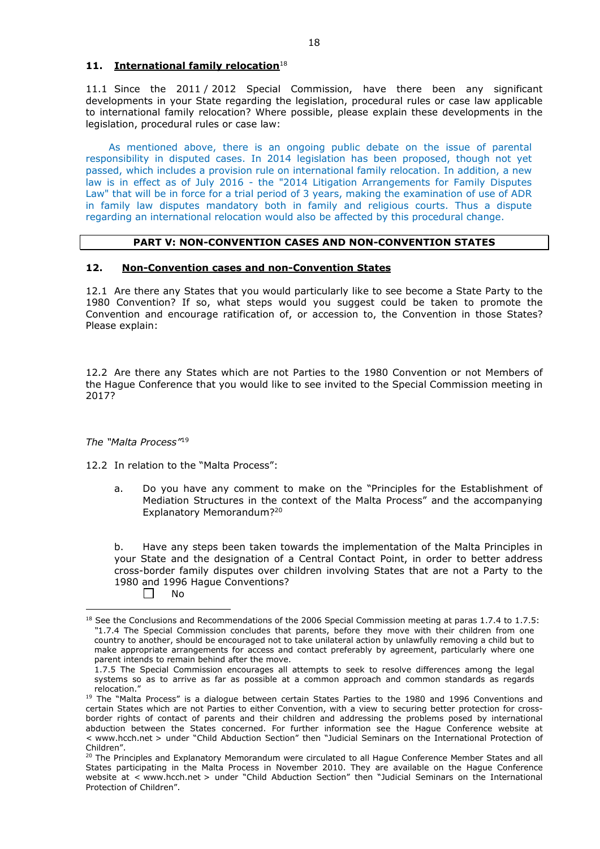## **11. International family relocation**<sup>18</sup>

11.1 Since the 2011 / 2012 Special Commission, have there been any significant developments in your State regarding the legislation, procedural rules or case law applicable to international family relocation? Where possible, please explain these developments in the legislation, procedural rules or case law:

As mentioned above, there is an ongoing public debate on the issue of parental responsibility in disputed cases. In 2014 legislation has been proposed, though not yet passed, which includes a provision rule on international family relocation. In addition, a new law is in effect as of July 2016 - the "2014 Litigation Arrangements for Family Disputes Law" that will be in force for a trial period of 3 years, making the examination of use of ADR in family law disputes mandatory both in family and religious courts. Thus a dispute regarding an international relocation would also be affected by this procedural change.

### **PART V: NON-CONVENTION CASES AND NON-CONVENTION STATES**

### **12. Non-Convention cases and non-Convention States**

12.1 Are there any States that you would particularly like to see become a State Party to the 1980 Convention? If so, what steps would you suggest could be taken to promote the Convention and encourage ratification of, or accession to, the Convention in those States? Please explain:

12.2 Are there any States which are not Parties to the 1980 Convention or not Members of the Hague Conference that you would like to see invited to the Special Commission meeting in 2017?

*The "Malta Process"*<sup>19</sup>

12.2 In relation to the "Malta Process":

a. Do you have any comment to make on the "Principles for the Establishment of Mediation Structures in the context of the Malta Process" and the accompanying Explanatory Memorandum?20

b. Have any steps been taken towards the implementation of the Malta Principles in your State and the designation of a Central Contact Point, in order to better address cross-border family disputes over children involving States that are not a Party to the 1980 and 1996 Hague Conventions?

 $\Box$ No

-

<sup>&</sup>lt;sup>18</sup> See the Conclusions and Recommendations of the 2006 Special Commission meeting at paras 1.7.4 to 1.7.5: *"*1.7.4 The Special Commission concludes that parents, before they move with their children from one country to another, should be encouraged not to take unilateral action by unlawfully removing a child but to make appropriate arrangements for access and contact preferably by agreement, particularly where one parent intends to remain behind after the move.

<sup>1.7.5</sup> The Special Commission encourages all attempts to seek to resolve differences among the legal systems so as to arrive as far as possible at a common approach and common standards as regards relocation."

<sup>&</sup>lt;sup>19</sup> The "Malta Process" is a dialogue between certain States Parties to the 1980 and 1996 Conventions and certain States which are not Parties to either Convention, with a view to securing better protection for crossborder rights of contact of parents and their children and addressing the problems posed by international abduction between the States concerned. For further information see the Hague Conference website at < www.hcch.net > under "Child Abduction Section" then "Judicial Seminars on the International Protection of Children".

<sup>20</sup> The Principles and Explanatory Memorandum were circulated to all Hague Conference Member States and all States participating in the Malta Process in November 2010. They are available on the Hague Conference website at < www.hcch.net > under "Child Abduction Section" then "Judicial Seminars on the International Protection of Children".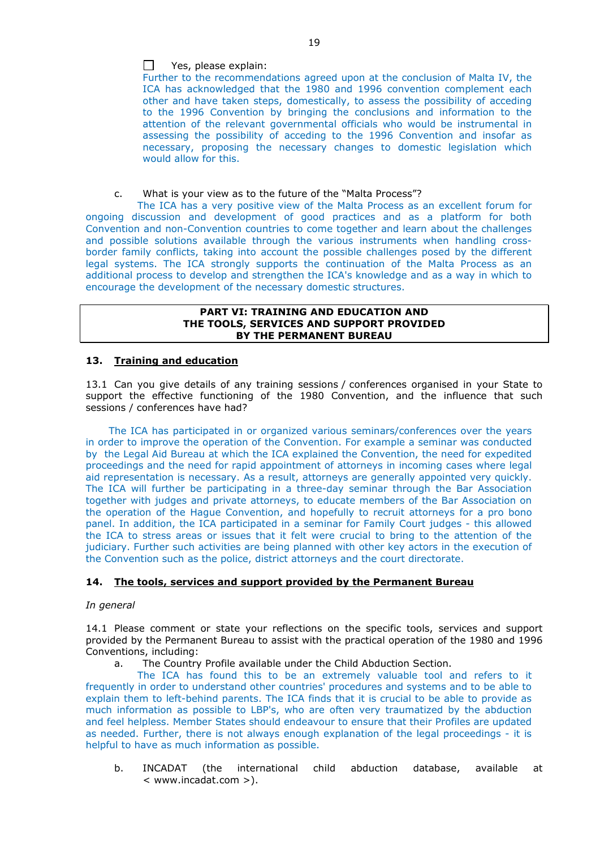Further to the recommendations agreed upon at the conclusion of Malta IV, the ICA has acknowledged that the 1980 and 1996 convention complement each other and have taken steps, domestically, to assess the possibility of acceding to the 1996 Convention by bringing the conclusions and information to the attention of the relevant governmental officials who would be instrumental in assessing the possibility of acceding to the 1996 Convention and insofar as necessary, proposing the necessary changes to domestic legislation which would allow for this.

c. What is your view as to the future of the "Malta Process"?

The ICA has a very positive view of the Malta Process as an excellent forum for ongoing discussion and development of good practices and as a platform for both Convention and non-Convention countries to come together and learn about the challenges and possible solutions available through the various instruments when handling crossborder family conflicts, taking into account the possible challenges posed by the different legal systems. The ICA strongly supports the continuation of the Malta Process as an additional process to develop and strengthen the ICA's knowledge and as a way in which to encourage the development of the necessary domestic structures.

#### **PART VI: TRAINING AND EDUCATION AND THE TOOLS, SERVICES AND SUPPORT PROVIDED BY THE PERMANENT BUREAU**

## **13. Training and education**

13.1 Can you give details of any training sessions / conferences organised in your State to support the effective functioning of the 1980 Convention, and the influence that such sessions / conferences have had?

The ICA has participated in or organized various seminars/conferences over the years in order to improve the operation of the Convention. For example a seminar was conducted by the Legal Aid Bureau at which the ICA explained the Convention, the need for expedited proceedings and the need for rapid appointment of attorneys in incoming cases where legal aid representation is necessary. As a result, attorneys are generally appointed very quickly. The ICA will further be participating in a three-day seminar through the Bar Association together with judges and private attorneys, to educate members of the Bar Association on the operation of the Hague Convention, and hopefully to recruit attorneys for a pro bono panel. In addition, the ICA participated in a seminar for Family Court judges - this allowed the ICA to stress areas or issues that it felt were crucial to bring to the attention of the judiciary. Further such activities are being planned with other key actors in the execution of the Convention such as the police, district attorneys and the court directorate.

## **14. The tools, services and support provided by the Permanent Bureau**

## *In general*

14.1 Please comment or state your reflections on the specific tools, services and support provided by the Permanent Bureau to assist with the practical operation of the 1980 and 1996 Conventions, including:

a. The Country Profile available under the Child Abduction Section.

The ICA has found this to be an extremely valuable tool and refers to it frequently in order to understand other countries' procedures and systems and to be able to explain them to left-behind parents. The ICA finds that it is crucial to be able to provide as much information as possible to LBP's, who are often very traumatized by the abduction and feel helpless. Member States should endeavour to ensure that their Profiles are updated as needed. Further, there is not always enough explanation of the legal proceedings - it is helpful to have as much information as possible.

b. INCADAT (the international child abduction database, available at < www.incadat.com >).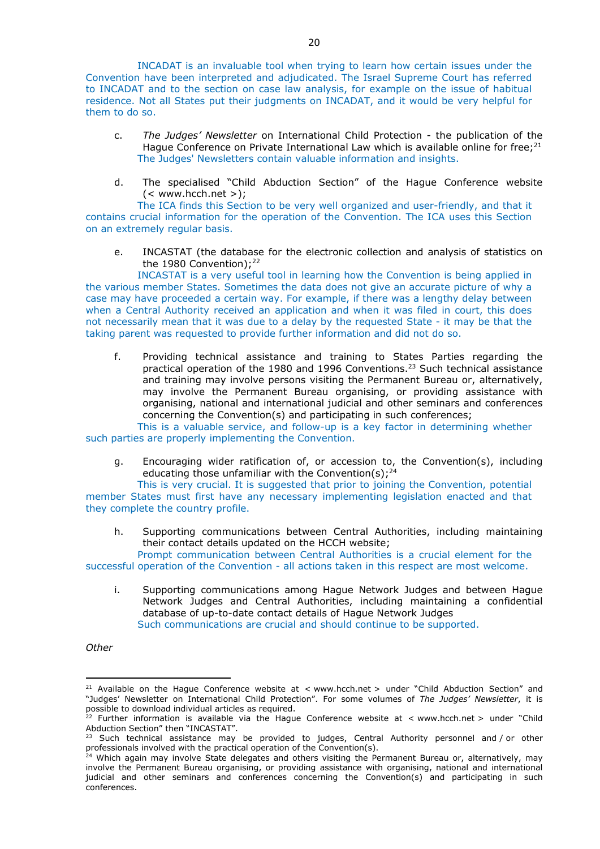INCADAT is an invaluable tool when trying to learn how certain issues under the Convention have been interpreted and adjudicated. The Israel Supreme Court has referred to INCADAT and to the section on case law analysis, for example on the issue of habitual residence. Not all States put their judgments on INCADAT, and it would be very helpful for them to do so.

- c. *The Judges' Newsletter* on International Child Protection the publication of the Hague Conference on Private International Law which is available online for free; $2^1$ The Judges' Newsletters contain valuable information and insights.
- d. The specialised "Child Abduction Section" of the Hague Conference website  $(<$  www.hcch.net >);

The ICA finds this Section to be very well organized and user-friendly, and that it contains crucial information for the operation of the Convention. The ICA uses this Section on an extremely regular basis.

e. INCASTAT (the database for the electronic collection and analysis of statistics on the 1980 Convention): 22

INCASTAT is a very useful tool in learning how the Convention is being applied in the various member States. Sometimes the data does not give an accurate picture of why a case may have proceeded a certain way. For example, if there was a lengthy delay between when a Central Authority received an application and when it was filed in court, this does not necessarily mean that it was due to a delay by the requested State - it may be that the taking parent was requested to provide further information and did not do so.

f. Providing technical assistance and training to States Parties regarding the practical operation of the 1980 and 1996 Conventions.<sup>23</sup> Such technical assistance and training may involve persons visiting the Permanent Bureau or, alternatively, may involve the Permanent Bureau organising, or providing assistance with organising, national and international judicial and other seminars and conferences concerning the Convention(s) and participating in such conferences;

This is a valuable service, and follow-up is a key factor in determining whether such parties are properly implementing the Convention.

g. Encouraging wider ratification of, or accession to, the Convention(s), including educating those unfamiliar with the Convention(s):  $24$ 

This is very crucial. It is suggested that prior to joining the Convention, potential member States must first have any necessary implementing legislation enacted and that they complete the country profile.

h. Supporting communications between Central Authorities, including maintaining their contact details updated on the HCCH website;

Prompt communication between Central Authorities is a crucial element for the successful operation of the Convention - all actions taken in this respect are most welcome.

i. Supporting communications among Hague Network Judges and between Hague Network Judges and Central Authorities, including maintaining a confidential database of up-to-date contact details of Hague Network Judges Such communications are crucial and should continue to be supported.

*Other*

<u>.</u>

<sup>&</sup>lt;sup>21</sup> Available on the Hague Conference website at < www.hcch.net > under "Child Abduction Section" and "Judges' Newsletter on International Child Protection". For some volumes of *The Judges' Newsletter*, it is possible to download individual articles as required.

<sup>&</sup>lt;sup>22</sup> Further information is available via the Hague Conference website at  $\lt$  www.hcch.net  $>$  under "Child Abduction Section" then "INCASTAT".

 $^{23}$  Such technical assistance may be provided to judges, Central Authority personnel and / or other professionals involved with the practical operation of the Convention(s).

<sup>&</sup>lt;sup>24</sup> Which again may involve State delegates and others visiting the Permanent Bureau or, alternatively, may involve the Permanent Bureau organising, or providing assistance with organising, national and international judicial and other seminars and conferences concerning the Convention(s) and participating in such conferences.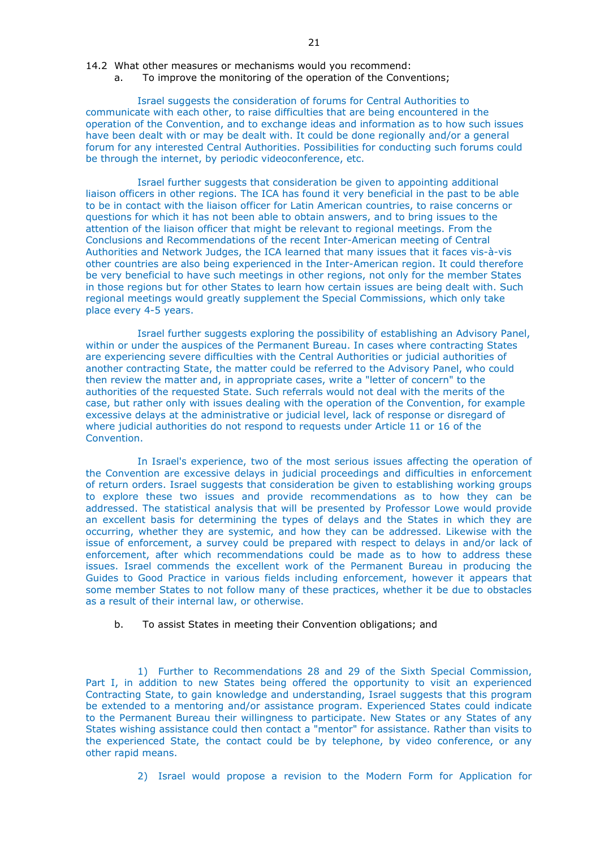- 14.2 What other measures or mechanisms would you recommend:
	- a. To improve the monitoring of the operation of the Conventions;

# Israel suggests the consideration of forums for Central Authorities to

communicate with each other, to raise difficulties that are being encountered in the operation of the Convention, and to exchange ideas and information as to how such issues have been dealt with or may be dealt with. It could be done regionally and/or a general forum for any interested Central Authorities. Possibilities for conducting such forums could be through the internet, by periodic videoconference, etc.

Israel further suggests that consideration be given to appointing additional liaison officers in other regions. The ICA has found it very beneficial in the past to be able to be in contact with the liaison officer for Latin American countries, to raise concerns or questions for which it has not been able to obtain answers, and to bring issues to the attention of the liaison officer that might be relevant to regional meetings. From the Conclusions and Recommendations of the recent Inter-American meeting of Central Authorities and Network Judges, the ICA learned that many issues that it faces vis-à-vis other countries are also being experienced in the Inter-American region. It could therefore be very beneficial to have such meetings in other regions, not only for the member States in those regions but for other States to learn how certain issues are being dealt with. Such regional meetings would greatly supplement the Special Commissions, which only take place every 4-5 years.

Israel further suggests exploring the possibility of establishing an Advisory Panel, within or under the auspices of the Permanent Bureau. In cases where contracting States are experiencing severe difficulties with the Central Authorities or judicial authorities of another contracting State, the matter could be referred to the Advisory Panel, who could then review the matter and, in appropriate cases, write a "letter of concern" to the authorities of the requested State. Such referrals would not deal with the merits of the case, but rather only with issues dealing with the operation of the Convention, for example excessive delays at the administrative or judicial level, lack of response or disregard of where judicial authorities do not respond to requests under Article 11 or 16 of the Convention.

In Israel's experience, two of the most serious issues affecting the operation of the Convention are excessive delays in judicial proceedings and difficulties in enforcement of return orders. Israel suggests that consideration be given to establishing working groups to explore these two issues and provide recommendations as to how they can be addressed. The statistical analysis that will be presented by Professor Lowe would provide an excellent basis for determining the types of delays and the States in which they are occurring, whether they are systemic, and how they can be addressed. Likewise with the issue of enforcement, a survey could be prepared with respect to delays in and/or lack of enforcement, after which recommendations could be made as to how to address these issues. Israel commends the excellent work of the Permanent Bureau in producing the Guides to Good Practice in various fields including enforcement, however it appears that some member States to not follow many of these practices, whether it be due to obstacles as a result of their internal law, or otherwise.

b. To assist States in meeting their Convention obligations; and

1) Further to Recommendations 28 and 29 of the Sixth Special Commission, Part I, in addition to new States being offered the opportunity to visit an experienced Contracting State, to gain knowledge and understanding, Israel suggests that this program be extended to a mentoring and/or assistance program. Experienced States could indicate to the Permanent Bureau their willingness to participate. New States or any States of any States wishing assistance could then contact a "mentor" for assistance. Rather than visits to the experienced State, the contact could be by telephone, by video conference, or any other rapid means.

2) Israel would propose a revision to the Modern Form for Application for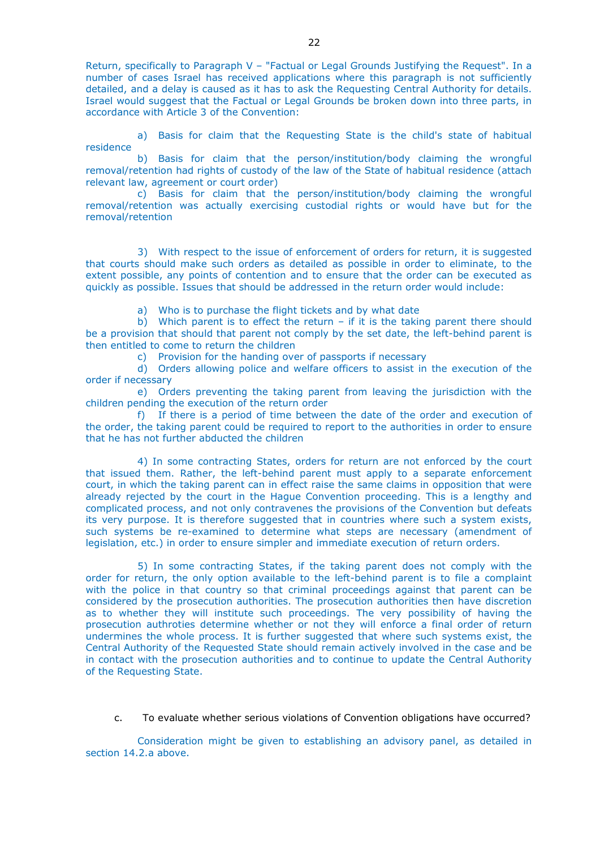Return, specifically to Paragraph V – "Factual or Legal Grounds Justifying the Request". In a number of cases Israel has received applications where this paragraph is not sufficiently detailed, and a delay is caused as it has to ask the Requesting Central Authority for details. Israel would suggest that the Factual or Legal Grounds be broken down into three parts, in accordance with Article 3 of the Convention:

a) Basis for claim that the Requesting State is the child's state of habitual residence

b) Basis for claim that the person/institution/body claiming the wrongful removal/retention had rights of custody of the law of the State of habitual residence (attach relevant law, agreement or court order)

c) Basis for claim that the person/institution/body claiming the wrongful removal/retention was actually exercising custodial rights or would have but for the removal/retention

3) With respect to the issue of enforcement of orders for return, it is suggested that courts should make such orders as detailed as possible in order to eliminate, to the extent possible, any points of contention and to ensure that the order can be executed as quickly as possible. Issues that should be addressed in the return order would include:

a) Who is to purchase the flight tickets and by what date

b) Which parent is to effect the return – if it is the taking parent there should be a provision that should that parent not comply by the set date, the left-behind parent is then entitled to come to return the children

c) Provision for the handing over of passports if necessary

d) Orders allowing police and welfare officers to assist in the execution of the order if necessary

e) Orders preventing the taking parent from leaving the jurisdiction with the children pending the execution of the return order

f) If there is a period of time between the date of the order and execution of the order, the taking parent could be required to report to the authorities in order to ensure that he has not further abducted the children

4) In some contracting States, orders for return are not enforced by the court that issued them. Rather, the left-behind parent must apply to a separate enforcement court, in which the taking parent can in effect raise the same claims in opposition that were already rejected by the court in the Hague Convention proceeding. This is a lengthy and complicated process, and not only contravenes the provisions of the Convention but defeats its very purpose. It is therefore suggested that in countries where such a system exists, such systems be re-examined to determine what steps are necessary (amendment of legislation, etc.) in order to ensure simpler and immediate execution of return orders.

5) In some contracting States, if the taking parent does not comply with the order for return, the only option available to the left-behind parent is to file a complaint with the police in that country so that criminal proceedings against that parent can be considered by the prosecution authorities. The prosecution authorities then have discretion as to whether they will institute such proceedings. The very possibility of having the prosecution authroties determine whether or not they will enforce a final order of return undermines the whole process. It is further suggested that where such systems exist, the Central Authority of the Requested State should remain actively involved in the case and be in contact with the prosecution authorities and to continue to update the Central Authority of the Requesting State.

c. To evaluate whether serious violations of Convention obligations have occurred?

Consideration might be given to establishing an advisory panel, as detailed in section 14.2.a above.